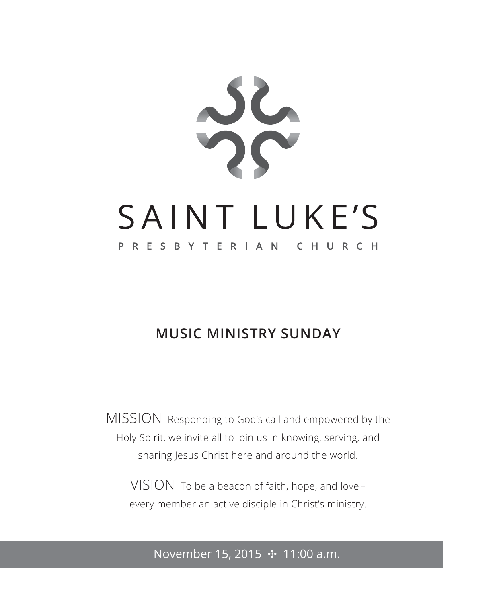

# **MUSIC MINISTRY SUNDAY**

MISSION Responding to God's call and empowered by the Holy Spirit, we invite all to join us in knowing, serving, and sharing Jesus Christ here and around the world.

VISION To be a beacon of faith, hope, and love – every member an active disciple in Christ's ministry.

# November 15, 2015 **↔** 11:00 a.m.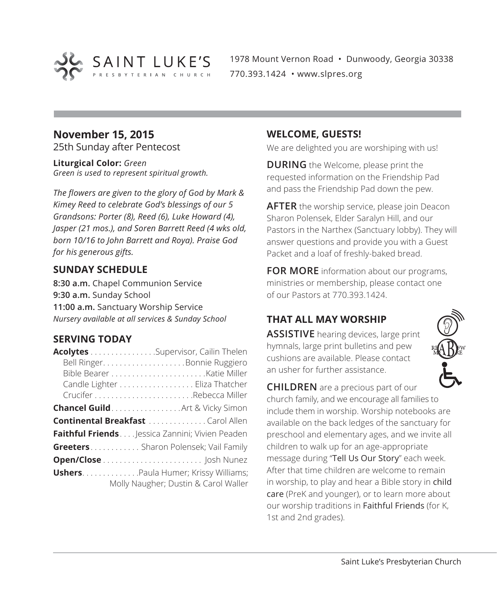

1978 Mount Vernon Road • Dunwoody, Georgia 30338 770.393.1424 • www.slpres.org

## **November 15, 2015**

25th Sunday after Pentecost

**Liturgical Color:** *Green Green is used to represent spiritual growth.* 

*The flowers are given to the glory of God by Mark & Kimey Reed to celebrate God's blessings of our 5 Grandsons: Porter (8), Reed (6), Luke Howard (4), Jasper (21 mos.), and Soren Barrett Reed (4 wks old, born 10/16 to John Barrett and Roya). Praise God for his generous gifts.* 

### **SUNDAY SCHEDULE**

**8:30 a.m.** Chapel Communion Service **9:30 a.m.** Sunday School **11:00 a.m.** Sanctuary Worship Service *Nursery available at all services & Sunday School*

### **SERVING TODAY**

| Acolytes Supervisor, Cailin Thelen              |                                      |
|-------------------------------------------------|--------------------------------------|
|                                                 |                                      |
|                                                 |                                      |
|                                                 | Candle Lighter Eliza Thatcher        |
|                                                 |                                      |
| <b>Chancel Guild</b> Art & Vicky Simon          |                                      |
| <b>Continental Breakfast Carol Allen</b>        |                                      |
| Faithful Friends Jessica Zannini; Vivien Peaden |                                      |
| Greeters Sharon Polensek; Vail Family           |                                      |
|                                                 |                                      |
| <b>Ushers</b> Paula Humer; Krissy Williams;     | Molly Naugher; Dustin & Carol Waller |

### **WELCOME, GUESTS!**

We are delighted you are worshiping with us!

**DURING** the Welcome, please print the requested information on the Friendship Pad and pass the Friendship Pad down the pew.

**AFTER** the worship service, please join Deacon Sharon Polensek, Elder Saralyn Hill, and our Pastors in the Narthex (Sanctuary lobby). They will answer questions and provide you with a Guest Packet and a loaf of freshly-baked bread.

**FOR MORE** information about our programs, ministries or membership, please contact one of our Pastors at 770.393.1424.

# **THAT ALL MAY WORSHIP**

**ASSISTIVE** hearing devices, large print hymnals, large print bulletins and pew cushions are available. Please contact an usher for further assistance.



**CHILDREN** are a precious part of our church family, and we encourage all families to include them in worship. Worship notebooks are available on the back ledges of the sanctuary for preschool and elementary ages, and we invite all children to walk up for an age-appropriate message during "Tell Us Our Story" each week. After that time children are welcome to remain in worship, to play and hear a Bible story in child care (PreK and younger), or to learn more about our worship traditions in Faithful Friends (for K, 1st and 2nd grades).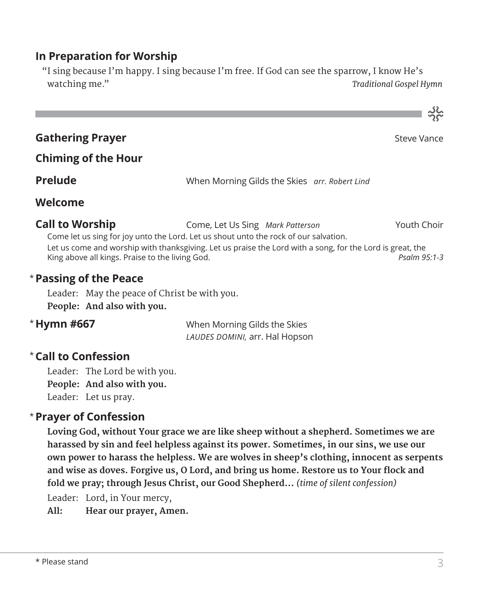## **In Preparation for Worship**

 "I sing because I'm happy. I sing because I'm free. If God can see the sparrow, I know He's watching me." *Traditional Gospel Hymn*



Leader: May the peace of Christ be with you. **People: And also with you.**

### \* Hymn #667

**When Morning Gilds the Skies** *LAUDES DOMINI,* arr. Hal Hopson

# **Call to Confession**  \*

Leader: The Lord be with you. **People: And also with you.** Leader: Let us pray.

### **Prayer of Confession**  \*

 **Loving God, without Your grace we are like sheep without a shepherd. Sometimes we are harassed by sin and feel helpless against its power. Sometimes, in our sins, we use our own power to harass the helpless. We are wolves in sheep's clothing, innocent as serpents and wise as doves. Forgive us, O Lord, and bring us home. Restore us to Your flock and fold we pray; through Jesus Christ, our Good Shepherd...** *(time of silent confession)*

Leader: Lord, in Your mercy,

**All: Hear our prayer, Amen.**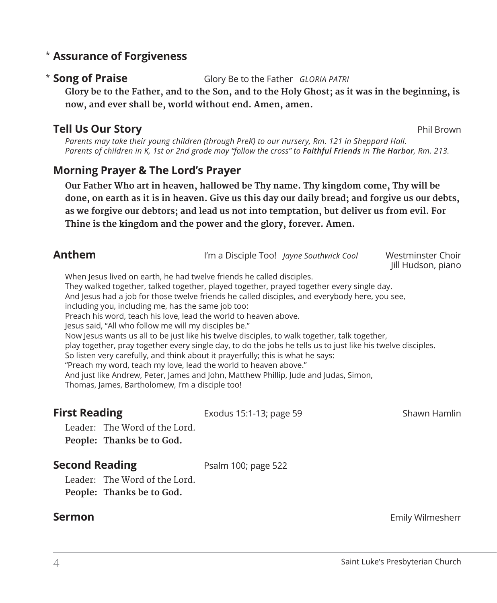### **Assurance of Forgiveness** \*

### \* Song of Praise

**Song of Praise** Glory Be to the Father *GLORIA PATRI*

 **Glory be to the Father, and to the Son, and to the Holy Ghost; as it was in the beginning, is now, and ever shall be, world without end. Amen, amen.**

### **Tell Us Our Story** Phil Brown

*Parents may take their young children (through PreK) to our nursery, Rm. 121 in Sheppard Hall. Parents of children in K, 1st or 2nd grade may "follow the cross" to Faithful Friends in The Harbor, Rm. 213.*

### **Morning Prayer & The Lord's Prayer**

 **Our Father Who art in heaven, hallowed be Thy name. Thy kingdom come, Thy will be done, on earth as it is in heaven. Give us this day our daily bread; and forgive us our debts, as we forgive our debtors; and lead us not into temptation, but deliver us from evil. For Thine is the kingdom and the power and the glory, forever. Amen.**

| <b>Anthem</b>                                                                                                                                                                                                                                                                                                                                                                                                                                                                                                                                                                                                                                                                                                                                                                                                                                                                                                                                                              |                         | I'm a Disciple Too! Jayne Southwick Cool | Westminster Choir<br>Jill Hudson, piano |
|----------------------------------------------------------------------------------------------------------------------------------------------------------------------------------------------------------------------------------------------------------------------------------------------------------------------------------------------------------------------------------------------------------------------------------------------------------------------------------------------------------------------------------------------------------------------------------------------------------------------------------------------------------------------------------------------------------------------------------------------------------------------------------------------------------------------------------------------------------------------------------------------------------------------------------------------------------------------------|-------------------------|------------------------------------------|-----------------------------------------|
| When Jesus lived on earth, he had twelve friends he called disciples.<br>They walked together, talked together, played together, prayed together every single day.<br>And lesus had a job for those twelve friends he called disciples, and everybody here, you see,<br>including you, including me, has the same job too:<br>Preach his word, teach his love, lead the world to heaven above.<br>lesus said, "All who follow me will my disciples be."<br>Now Jesus wants us all to be just like his twelve disciples, to walk together, talk together,<br>play together, pray together every single day, to do the jobs he tells us to just like his twelve disciples.<br>So listen very carefully, and think about it prayerfully; this is what he says:<br>"Preach my word, teach my love, lead the world to heaven above."<br>And just like Andrew, Peter, James and John, Matthew Phillip, Jude and Judas, Simon,<br>Thomas, James, Bartholomew, I'm a disciple too! |                         |                                          |                                         |
| <b>First Reading</b>                                                                                                                                                                                                                                                                                                                                                                                                                                                                                                                                                                                                                                                                                                                                                                                                                                                                                                                                                       | Exodus 15:1-13; page 59 |                                          | Shawn Hamlin                            |
| Leader: The Word of the Lord                                                                                                                                                                                                                                                                                                                                                                                                                                                                                                                                                                                                                                                                                                                                                                                                                                                                                                                                               |                         |                                          |                                         |

Leader: The Word of the Lord. **People: Thanks be to God.** 

### **Second Reading** Psalm 100; page 522

Leader: The Word of the Lord. **People: Thanks be to God.**

**Sermon** Emily Wilmesherr **Emily Wilmesherr Emily Wilmesherr**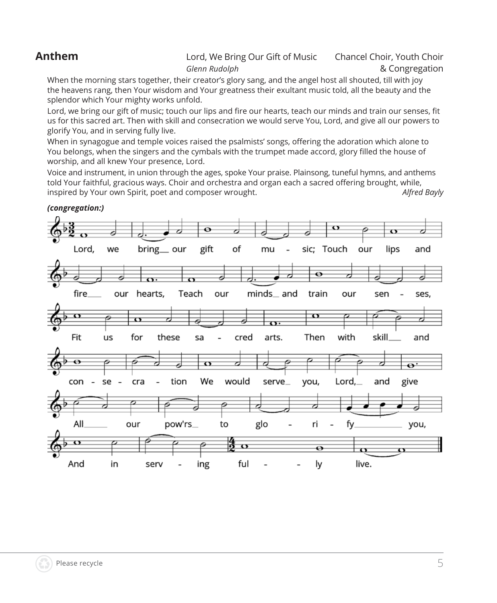### **Anthem** Lord, We Bring Our Gift of Music Chancel Choir, Youth Choir *Glenn Rudolph* & Congregation

 When the morning stars together, their creator's glory sang, and the angel host all shouted, till with joy the heavens rang, then Your wisdom and Your greatness their exultant music told, all the beauty and the splendor which Your mighty works unfold.

Lord, we bring our gift of music; touch our lips and fire our hearts, teach our minds and train our senses, fit us for this sacred art. Then with skill and consecration we would serve You, Lord, and give all our powers to glorify You, and in serving fully live.

When in synagogue and temple voices raised the psalmists' songs, offering the adoration which alone to You belongs, when the singers and the cymbals with the trumpet made accord, glory filled the house of worship, and all knew Your presence, Lord.

 Voice and instrument, in union through the ages, spoke Your praise. Plainsong, tuneful hymns, and anthems told Your faithful, gracious ways. Choir and orchestra and organ each a sacred offering brought, while, inspired by Your own Spirit, poet and composer wrought. *Alfred Bayly*

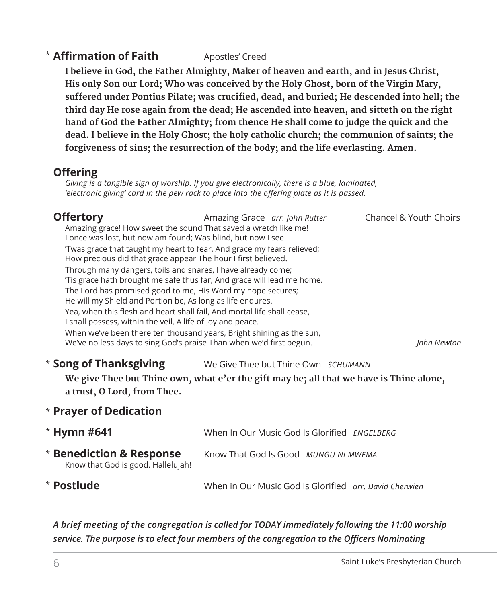## **\* Affirmation of Faith** Apostles' Creed

 **I believe in God, the Father Almighty, Maker of heaven and earth, and in Jesus Christ, His only Son our Lord; Who was conceived by the Holy Ghost, born of the Virgin Mary, suffered under Pontius Pilate; was crucified, dead, and buried; He descended into hell; the third day He rose again from the dead; He ascended into heaven, and sitteth on the right hand of God the Father Almighty; from thence He shall come to judge the quick and the dead. I believe in the Holy Ghost; the holy catholic church; the communion of saints; the forgiveness of sins; the resurrection of the body; and the life everlasting. Amen.**

### **Offering**

*Giving is a tangible sign of worship. If you give electronically, there is a blue, laminated, 'electronic giving' card in the pew rack to place into the offering plate as it is passed.* 

# **Offertory Amazing Grace** *arr. John Rutter* Chancel & Youth Choirs

Amazing grace! How sweet the sound That saved a wretch like me! I once was lost, but now am found; Was blind, but now I see. 'Twas grace that taught my heart to fear, And grace my fears relieved; How precious did that grace appear The hour I first believed. Through many dangers, toils and snares, I have already come; 'Tis grace hath brought me safe thus far, And grace will lead me home. The Lord has promised good to me, His Word my hope secures; He will my Shield and Portion be, As long as life endures. Yea, when this flesh and heart shall fail, And mortal life shall cease, I shall possess, within the veil, A life of joy and peace. When we've been there ten thousand years, Bright shining as the sun, We've no less days to sing God's praise Than when we'd first begun. *John Newton* 

#### **Song of Thanksgiving** We Give Thee but Thine Own *SCHUMANN* \* Song of Thanksgiving

 **We give Thee but Thine own, what e'er the gift may be; all that we have is Thine alone, a trust, O Lord, from Thee.**

### **Prayer of Dedication** \*

| $*$ Hymn #641                                                             | When In Our Music God Is Glorified ENGELBERG          |  |
|---------------------------------------------------------------------------|-------------------------------------------------------|--|
| <b>* Benediction &amp; Response</b><br>Know that God is good. Hallelujah! | Know That God Is Good MUNGU NI MWEMA                  |  |
| * Postlude                                                                | When in Our Music God Is Glorified are David Cherwien |  |

### *A brief meeting of the congregation is called for TODAY immediately following the 11:00 worship service. The purpose is to elect four members of the congregation to the Officers Nominating*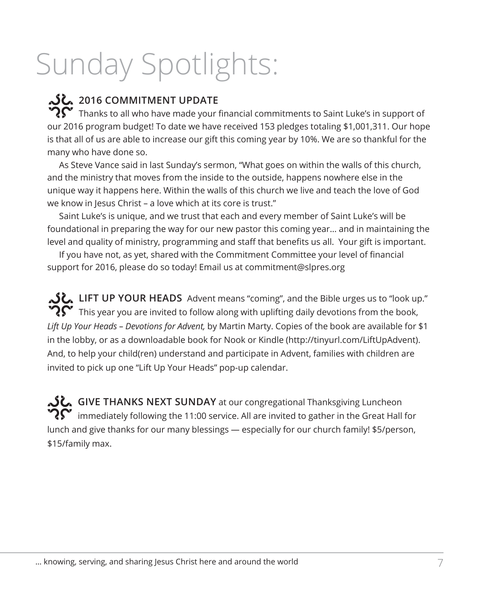# Sunday Spotlights:

# **2016 COMMITMENT UPDATE**

Thanks to all who have made your financial commitments to Saint Luke's in support of our 2016 program budget! To date we have received 153 pledges totaling \$1,001,311. Our hope is that all of us are able to increase our gift this coming year by 10%. We are so thankful for the many who have done so.

As Steve Vance said in last Sunday's sermon, "What goes on within the walls of this church, and the ministry that moves from the inside to the outside, happens nowhere else in the unique way it happens here. Within the walls of this church we live and teach the love of God we know in Jesus Christ – a love which at its core is trust."

Saint Luke's is unique, and we trust that each and every member of Saint Luke's will be foundational in preparing the way for our new pastor this coming year… and in maintaining the level and quality of ministry, programming and staff that benefits us all. Your gift is important.

If you have not, as yet, shared with the Commitment Committee your level of financial support for 2016, please do so today! Email us at commitment@slpres.org

LIFT UP YOUR HEADS Advent means "coming", and the Bible urges us to "look up." This year you are invited to follow along with uplifting daily devotions from the book, *Lift Up Your Heads – Devotions for Advent,* by Martin Marty. Copies of the book are available for \$1 in the lobby, or as a downloadable book for Nook or Kindle (http://tinyurl.com/LiftUpAdvent). And, to help your child(ren) understand and participate in Advent, families with children are invited to pick up one "Lift Up Your Heads" pop-up calendar.

**GIVE THANKS NEXT SUNDAY** at our congregational Thanksgiving Luncheon immediately following the 11:00 service. All are invited to gather in the Great Hall for lunch and give thanks for our many blessings — especially for our church family! \$5/person, \$15/family max.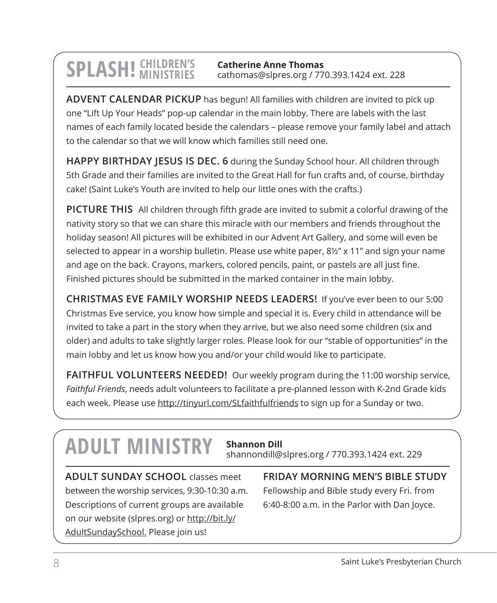# **SPLASH!** CHILDREN'S

**Catherine Anne Thomas** cathomas@slpres.org / 770.393.1424 ext. 228

**ADVENT CALENDAR PICKUP** has begun! All families with children are invited to pick up one "Lift Up Your Heads" pop-up calendar in the main lobby. There are labels with the last names of each family located beside the calendars – please remove your family label and attach to the calendar so that we will know which families still need one.

**HAPPY BIRTHDAY JESUS IS DEC. 6** during the Sunday School hour. All children through 5th Grade and their families are invited to the Great Hall for fun crafts and, of course, birthday cake! (Saint Luke's Youth are invited to help our little ones with the crafts.)

**PICTURE THIS** All children through fifth grade are invited to submit a colorful drawing of the nativity story so that we can share this miracle with our members and friends throughout the holiday season! All pictures will be exhibited in our Advent Art Gallery, and some will even be selected to appear in a worship bulletin. Please use white paper, 8½" x 11" and sign your name and age on the back. Crayons, markers, colored pencils, paint, or pastels are all just fine. Finished pictures should be submitted in the marked container in the main lobby.

**CHRISTMAS EVE FAMILY WORSHIP NEEDS LEADERS!** If you've ever been to our 5:00 Christmas Eve service, you know how simple and special it is. Every child in attendance will be invited to take a part in the story when they arrive, but we also need some children (six and older) and adults to take slightly larger roles. Please look for our "stable of opportunities" in the main lobby and let us know how you and/or your child would like to participate.

**FAITHFUL VOLUNTEERS NEEDED!** Our weekly program during the 11:00 worship service, *Faithful Friends*, needs adult volunteers to facilitate a pre-planned lesson with K-2nd Grade kids each week. Please use http://tinyurl.com/SLfaithfulfriends to sign up for a Sunday or two.

# **ADULT MINISTRY Shannon Dill**

shannondill@slpres.org / 770.393.1424 ext. 229

**ADULT SUNDAY SCHOOL** classes meet between the worship services, 9:30-10:30 a.m. Descriptions of current groups are available on our website (slpres.org) or http://bit.ly/ AdultSundaySchool. Please join us!

**FRIDAY MORNING MEN'S BIBLE STUDY**  Fellowship and Bible study every Fri. from 6:40-8:00 a.m. in the Parlor with Dan Joyce.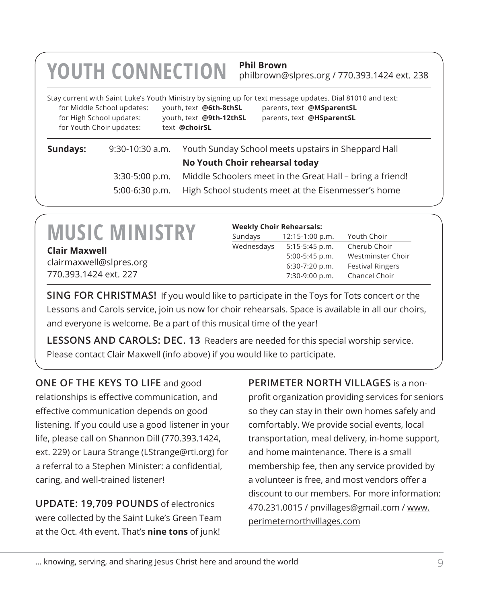# **YOUTH CONNECTION Phil Brown**

philbrown@slpres.org / 770.393.1424 ext. 238

|                            |                         | Stay current with Saint Luke's Youth Ministry by signing up for text message updates. Dial 81010 and text: |
|----------------------------|-------------------------|------------------------------------------------------------------------------------------------------------|
| for Middle School updates: | youth, text @6th-8thSL  | parents, text @MSparentSL                                                                                  |
| for High School updates:   | youth, text @9th-12thSL | parents, text @HSparentSL                                                                                  |
| for Youth Choir updates:   | text @choirSL           |                                                                                                            |
|                            |                         |                                                                                                            |

## **Sundays:** 9:30-10:30 a.m. Youth Sunday School meets upstairs in Sheppard Hall **No Youth Choir rehearsal today** 3:30-5:00 p.m. Middle Schoolers meet in the Great Hall – bring a friend! 5:00-6:30 p.m. High School students meet at the Eisenmesser's home

# **MUSIC MINISTRY**

**Clair Maxwell** clairmaxwell@slpres.org 770.393.1424 ext. 227

#### **Weekly Choir Rehearsals:**

| Sundays    | $12:15-1:00 p.m.$ | Youth Choir             |  |
|------------|-------------------|-------------------------|--|
| Wednesdays | $5:15-5:45$ p.m.  | Cherub Choir            |  |
|            | $5:00-5:45$ p.m.  | Westminster Choir       |  |
|            | $6:30-7:20$ p.m.  | <b>Festival Ringers</b> |  |
|            | 7:30-9:00 p.m.    | Chancel Choir           |  |

**SING FOR CHRISTMAS!** If you would like to participate in the Toys for Tots concert or the Lessons and Carols service, join us now for choir rehearsals. Space is available in all our choirs, and everyone is welcome. Be a part of this musical time of the year!

**LESSONS AND CAROLS: DEC. 13** Readers are needed for this special worship service. Please contact Clair Maxwell (info above) if you would like to participate.

### **ONE OF THE KEYS TO LIFE** and good

relationships is effective communication, and effective communication depends on good listening. If you could use a good listener in your life, please call on Shannon Dill (770.393.1424, ext. 229) or Laura Strange (LStrange@rti.org) for a referral to a Stephen Minister: a confidential, caring, and well-trained listener!

**UPDATE: 19,709 POUNDS** of electronics were collected by the Saint Luke's Green Team at the Oct. 4th event. That's **nine tons** of junk!

**PERIMETER NORTH VILLAGES** is a nonprofit organization providing services for seniors so they can stay in their own homes safely and comfortably. We provide social events, local transportation, meal delivery, in-home support, and home maintenance. There is a small membership fee, then any service provided by a volunteer is free, and most vendors offer a discount to our members. For more information: 470.231.0015 / pnvillages@gmail.com / www. perimeternorthvillages.com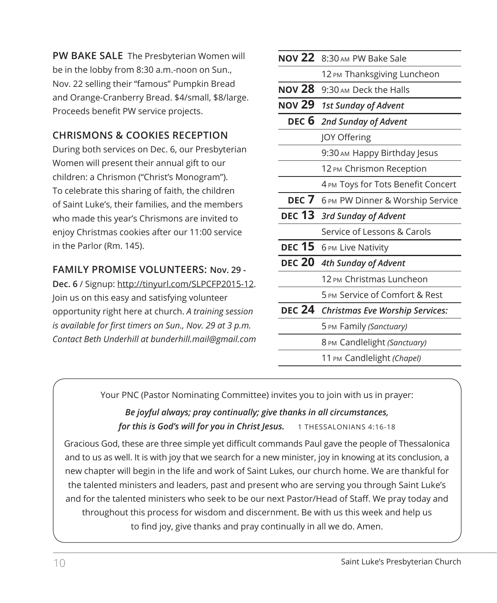**PW BAKE SALE** The Presbyterian Women will be in the lobby from 8:30 a.m.-noon on Sun., Nov. 22 selling their "famous" Pumpkin Bread and Orange-Cranberry Bread. \$4/small, \$8/large. Proceeds benefit PW service projects.

### **CHRISMONS & COOKIES RECEPTION**

During both services on Dec. 6, our Presbyterian Women will present their annual gift to our children: a Chrismon ("Christ's Monogram"). To celebrate this sharing of faith, the children of Saint Luke's, their families, and the members who made this year's Chrismons are invited to enjoy Christmas cookies after our 11:00 service in the Parlor (Rm. 145).

### **FAMILY PROMISE VOLUNTEERS: Nov. 29 -**

**Dec. 6** / Signup: http://tinyurl.com/SLPCFP2015-12. Join us on this easy and satisfying volunteer opportunity right here at church. *A training session is available for first timers on Sun., Nov. 29 at 3 p.m. Contact Beth Underhill at bunderhill.mail@gmail.com*

| <b>NOV 22</b> | 8:30 AM PW Bake Sale                   |
|---------------|----------------------------------------|
|               | 12 PM Thanksgiving Luncheon            |
| <b>NOV 28</b> | 9:30 AM Deck the Halls                 |
| <b>NOV 29</b> | 1st Sunday of Advent                   |
|               | DEC 6 2nd Sunday of Advent             |
|               | <b>JOY Offering</b>                    |
|               | 9:30 AM Happy Birthday Jesus           |
|               | 12 PM Chrismon Reception               |
|               | 4 PM Toys for Tots Benefit Concert     |
|               | DEC 7 6 PM PW Dinner & Worship Service |
| <b>DEC 13</b> | 3rd Sunday of Advent                   |
|               | Service of Lessons & Carols            |
| <b>DEC 15</b> | 6 PM Live Nativity                     |
| <b>DEC 20</b> | 4th Sunday of Advent                   |
|               | 12 PM Christmas Luncheon               |
|               | 5 PM Service of Comfort & Rest         |
|               | DEC 24 Christmas Eve Worship Services: |
|               | 5 PM Family (Sanctuary)                |
|               | 8 PM Candlelight (Sanctuary)           |
|               | 11 PM Candlelight (Chapel)             |

Your PNC (Pastor Nominating Committee) invites you to join with us in prayer:

### *Be joyful always; pray continually; give thanks in all circumstances, for this is God's will for you in Christ Jesus.* 1 THESSALONIANS 4:16-18

Gracious God, these are three simple yet difficult commands Paul gave the people of Thessalonica and to us as well. It is with joy that we search for a new minister, joy in knowing at its conclusion, a new chapter will begin in the life and work of Saint Lukes, our church home. We are thankful for the talented ministers and leaders, past and present who are serving you through Saint Luke's and for the talented ministers who seek to be our next Pastor/Head of Staff. We pray today and throughout this process for wisdom and discernment. Be with us this week and help us to find joy, give thanks and pray continually in all we do. Amen.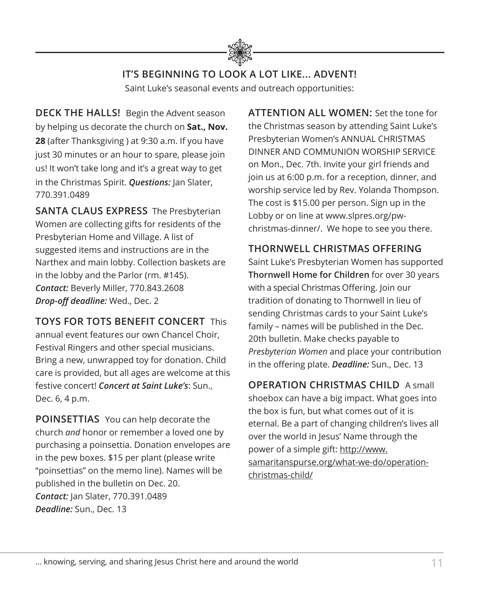

# **IT'S BEGINNING TO LOOK A LOT LIKE... ADVENT!**

Saint Luke's seasonal events and outreach opportunities:

**DECK THE HALLS!** Begin the Advent season by helping us decorate the church on **Sat., Nov. 28** (after Thanksgiving ) at 9:30 a.m. If you have just 30 minutes or an hour to spare, please join us! It won't take long and it's a great way to get in the Christmas Spirit. *Questions:* Jan Slater, 770.391.0489

**SANTA CLAUS EXPRESS** The Presbyterian Women are collecting gifts for residents of the Presbyterian Home and Village. A list of suggested items and instructions are in the Narthex and main lobby. Collection baskets are in the lobby and the Parlor (rm. #145). *Contact:* Beverly Miller, 770.843.2608 *Drop-off deadline:* Wed., Dec. 2

**TOYS FOR TOTS BENEFIT CONCERT** This annual event features our own Chancel Choir, Festival Ringers and other special musicians. Bring a new, unwrapped toy for donation. Child care is provided, but all ages are welcome at this festive concert! *Concert at Saint Luke's*: Sun., Dec. 6, 4 p.m.

**POINSETTIAS** You can help decorate the church *and* honor or remember a loved one by purchasing a poinsettia. Donation envelopes are in the pew boxes. \$15 per plant (please write "poinsettias" on the memo line). Names will be published in the bulletin on Dec. 20. *Contact:* Jan Slater, 770.391.0489 *Deadline:* Sun., Dec. 13

**ATTENTION ALL WOMEN:** Set the tone for the Christmas season by attending Saint Luke's Presbyterian Women's ANNUAL CHRISTMAS DINNER AND COMMUNION WORSHIP SERVICE on Mon., Dec. 7th. Invite your girl friends and join us at 6:00 p.m. for a reception, dinner, and worship service led by Rev. Yolanda Thompson. The cost is \$15.00 per person. Sign up in the Lobby or on line at www.slpres.org/pwchristmas-dinner/. We hope to see you there.

### **THORNWELL CHRISTMAS OFFERING**

Saint Luke's Presbyterian Women has supported **Thornwell Home for Children** for over 30 years with a special Christmas Offering. Join our tradition of donating to Thornwell in lieu of sending Christmas cards to your Saint Luke's family – names will be published in the Dec. 20th bulletin. Make checks payable to *Presbyterian Women* and place your contribution in the offering plate. *Deadline:* Sun., Dec. 13

**OPERATION CHRISTMAS CHILD** A small shoebox can have a big impact. What goes into the box is fun, but what comes out of it is eternal. Be a part of changing children's lives all over the world in Jesus' Name through the power of a simple gift: http://www. samaritanspurse.org/what-we-do/operationchristmas-child/